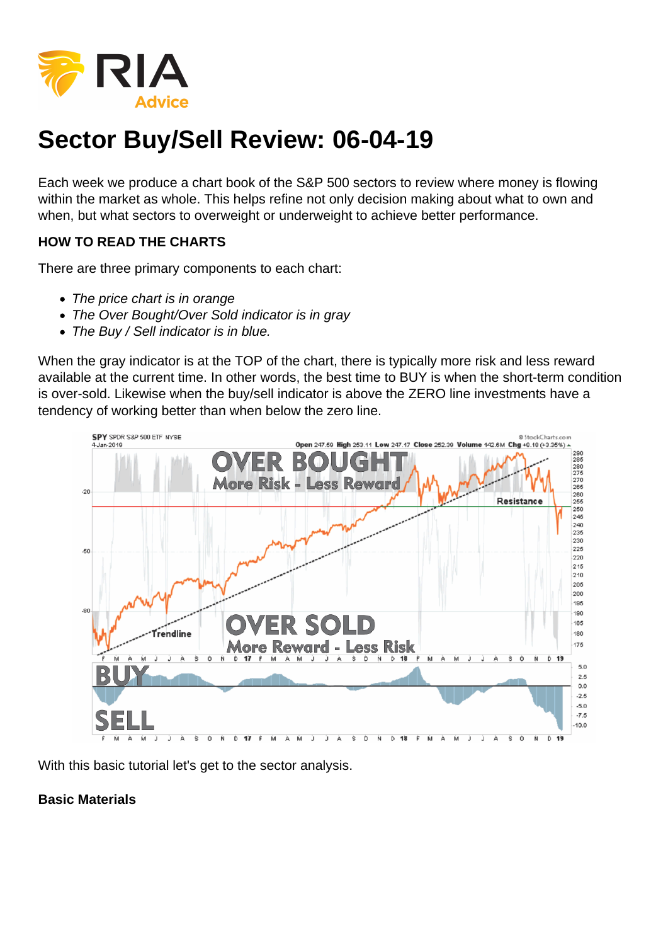## Sector Buy/Sell Review: 06-04-19

Each week we produce a chart book of the S&P 500 sectors to review where money is flowing within the market as whole. This helps refine not only decision making about what to own and when, but what sectors to overweight or underweight to achieve better performance.

HOW TO READ THE CHARTS

There are three primary components to each chart:

- The price chart is in orange
- The Over Bought/Over Sold indicator is in gray
- The Buy / Sell indicator is in blue.

When the gray indicator is at the TOP of the chart, there is typically more risk and less reward available at the current time. In other words, the best time to BUY is when the short-term condition is over-sold. Likewise when the buy/sell indicator is above the ZERO line investments have a tendency of working better than when below the zero line.

With this basic tutorial let's get to the sector analysis.

Basic Materials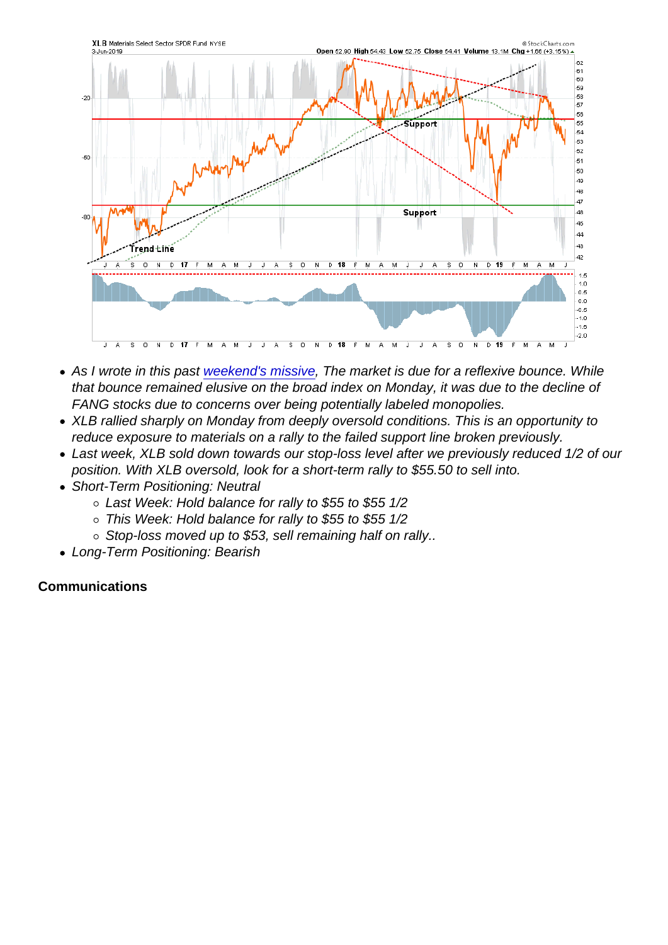- As I wrote in this past [weekend's missive](https://realinvestmentadvice.com/selloff-overdone-looking-for-a-sellable-rally/), The market is due for a reflexive bounce. While that bounce remained elusive on the broad index on Monday, it was due to the decline of FANG stocks due to concerns over being potentially labeled monopolies.
- XLB rallied sharply on Monday from deeply oversold conditions. This is an opportunity to reduce exposure to materials on a rally to the failed support line broken previously.
- Last week, XLB sold down towards our stop-loss level after we previously reduced 1/2 of our position. With XLB oversold, look for a short-term rally to \$55.50 to sell into.
- Short-Term Positioning: Neutral
	- Last Week: Hold balance for rally to \$55 to \$55 1/2
	- This Week: Hold balance for rally to \$55 to \$55 1/2
	- $\circ$  Stop-loss moved up to \$53, sell remaining half on rally..
- Long-Term Positioning: Bearish

**Communications**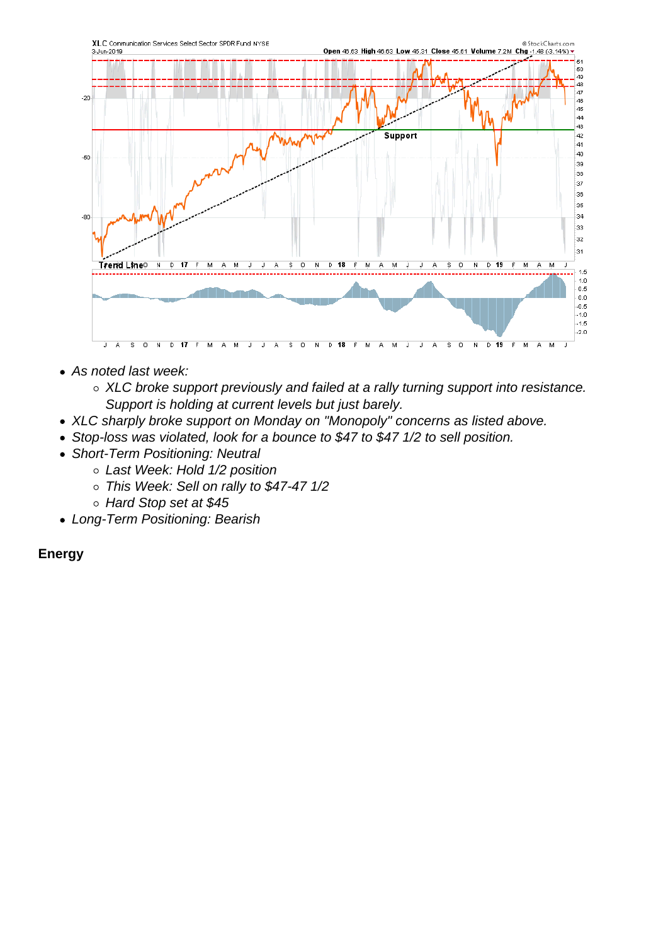- As noted last week:
	- XLC broke support previously and failed at a rally turning support into resistance. Support is holding at current levels but just barely.
- XLC sharply broke support on Monday on "Monopoly" concerns as listed above.
- Stop-loss was violated, look for a bounce to \$47 to \$47 1/2 to sell position.
- Short-Term Positioning: Neutral
	- Last Week: Hold 1/2 position
	- This Week: Sell on rally to \$47-47 1/2
	- Hard Stop set at \$45
- Long-Term Positioning: Bearish

Energy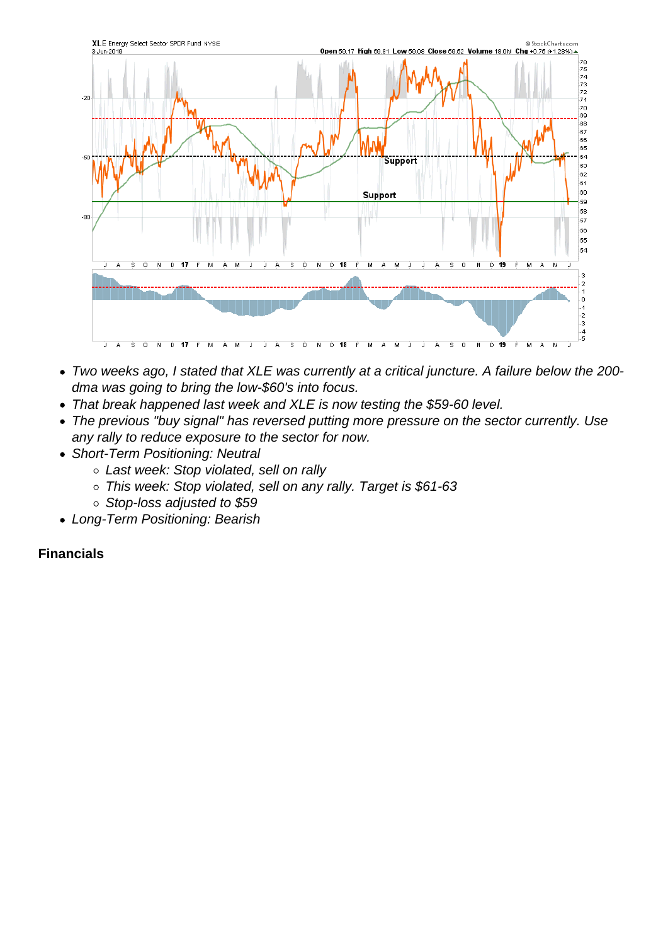- Two weeks ago, I stated that XLE was currently at a critical juncture. A failure below the 200 dma was going to bring the low-\$60's into focus.
- That break happened last week and XLE is now testing the \$59-60 level.
- The previous "buy signal" has reversed putting more pressure on the sector currently. Use any rally to reduce exposure to the sector for now.
- Short-Term Positioning: Neutral
	- Last week: Stop violated, sell on rally
	- This week: Stop violated, sell on any rally. Target is \$61-63
	- $\circ$  Stop-loss adjusted to \$59
- Long-Term Positioning: Bearish

Financials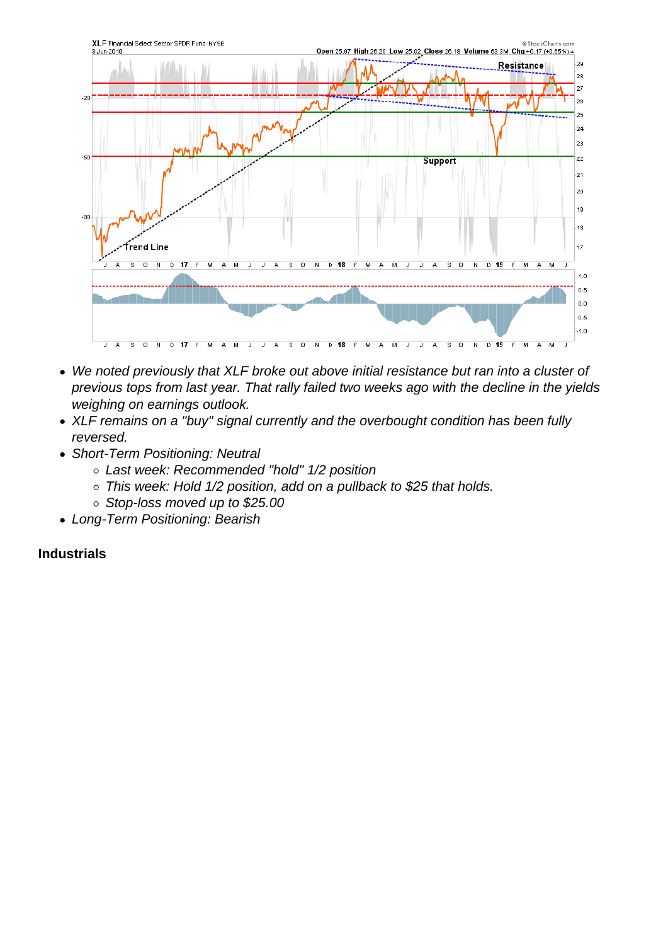- We noted previously that XLF broke out above initial resistance but ran into a cluster of previous tops from last year. That rally failed two weeks ago with the decline in the yields weighing on earnings outlook.
- XLF remains on a "buy" signal currently and the overbought condition has been fully reversed.
- Short-Term Positioning: Neutral
	- Last week: Recommended "hold" 1/2 position
	- This week: Hold 1/2 position, add on a pullback to \$25 that holds.
	- o Stop-loss moved up to \$25.00
- Long-Term Positioning: Bearish

**Industrials**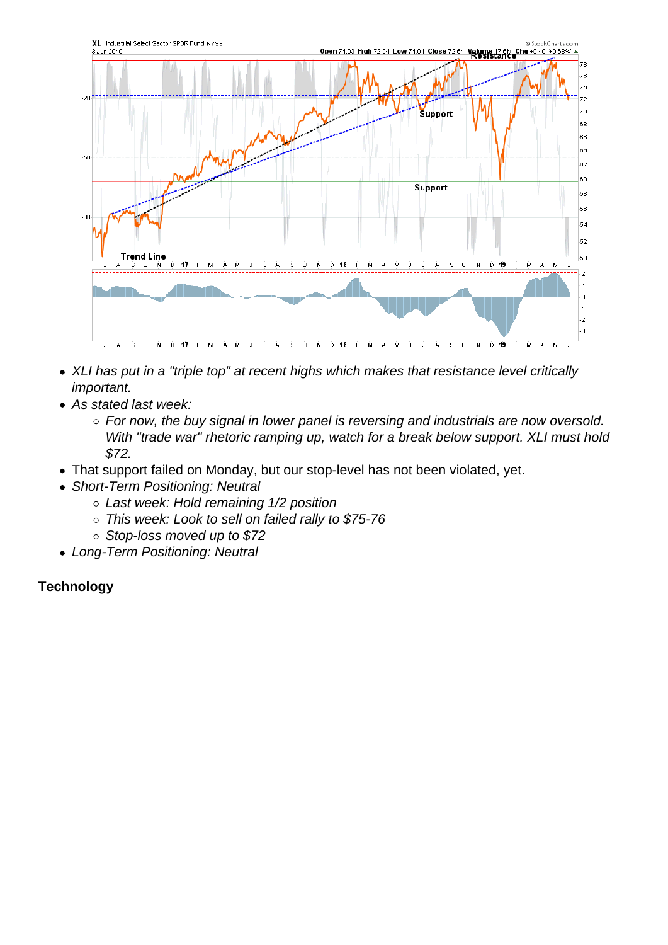- XLI has put in a "triple top" at recent highs which makes that resistance level critically important.
- As stated last week:
	- For now, the buy signal in lower panel is reversing and industrials are now oversold. With "trade war" rhetoric ramping up, watch for a break below support. XLI must hold \$72.
- That support failed on Monday, but our stop-level has not been violated, yet.
- Short-Term Positioning: Neutral
	- Last week: Hold remaining 1/2 position
	- o This week: Look to sell on failed rally to \$75-76
	- Stop-loss moved up to \$72
- Long-Term Positioning: Neutral

**Technology**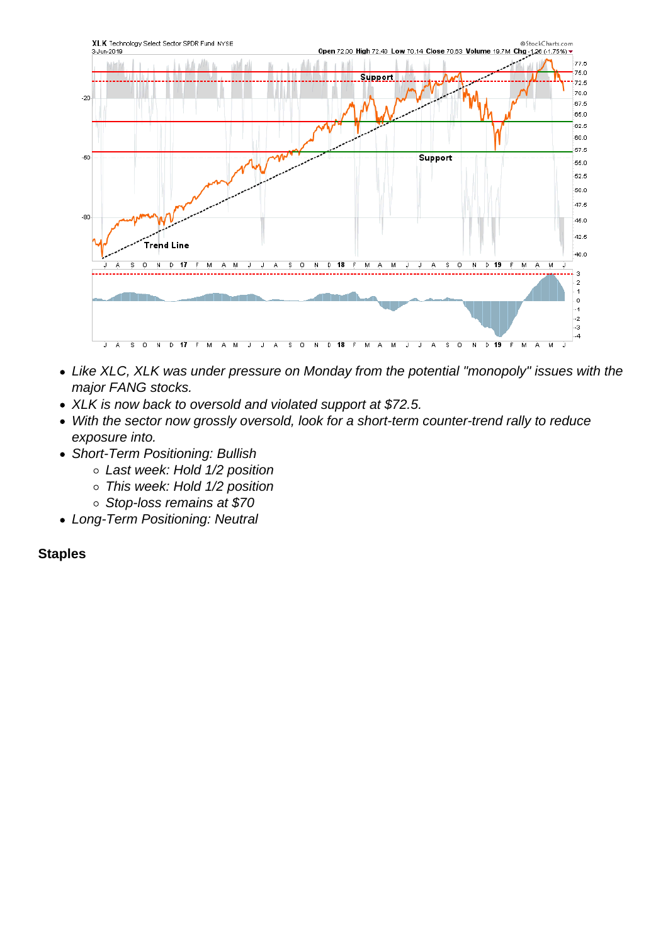- Like XLC, XLK was under pressure on Monday from the potential "monopoly" issues with the major FANG stocks.
- XLK is now back to oversold and violated support at \$72.5.
- With the sector now grossly oversold, look for a short-term counter-trend rally to reduce exposure into.
- Short-Term Positioning: Bullish
	- Last week: Hold 1/2 position
	- This week: Hold 1/2 position
	- Stop-loss remains at \$70
- Long-Term Positioning: Neutral

**Staples**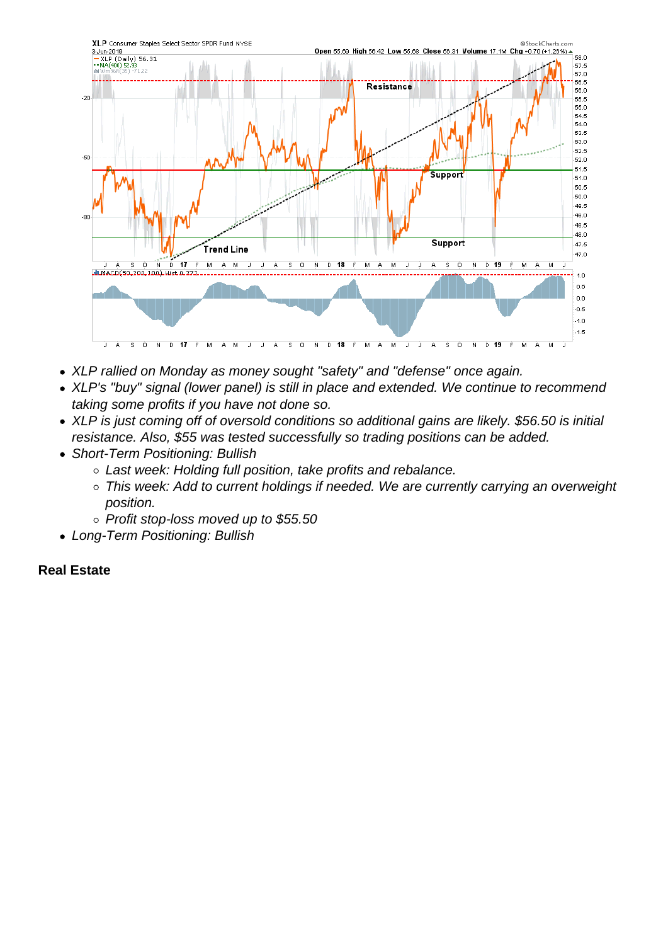- XLP rallied on Monday as money sought "safety" and "defense" once again.
- XLP's "buy" signal (lower panel) is still in place and extended. We continue to recommend taking some profits if you have not done so.
- XLP is just coming off of oversold conditions so additional gains are likely. \$56.50 is initial resistance. Also, \$55 was tested successfully so trading positions can be added.
- Short-Term Positioning: Bullish
	- Last week: Holding full position, take profits and rebalance.
	- This week: Add to current holdings if needed. We are currently carrying an overweight position.
	- o Profit stop-loss moved up to \$55.50
- Long-Term Positioning: Bullish

## Real Estate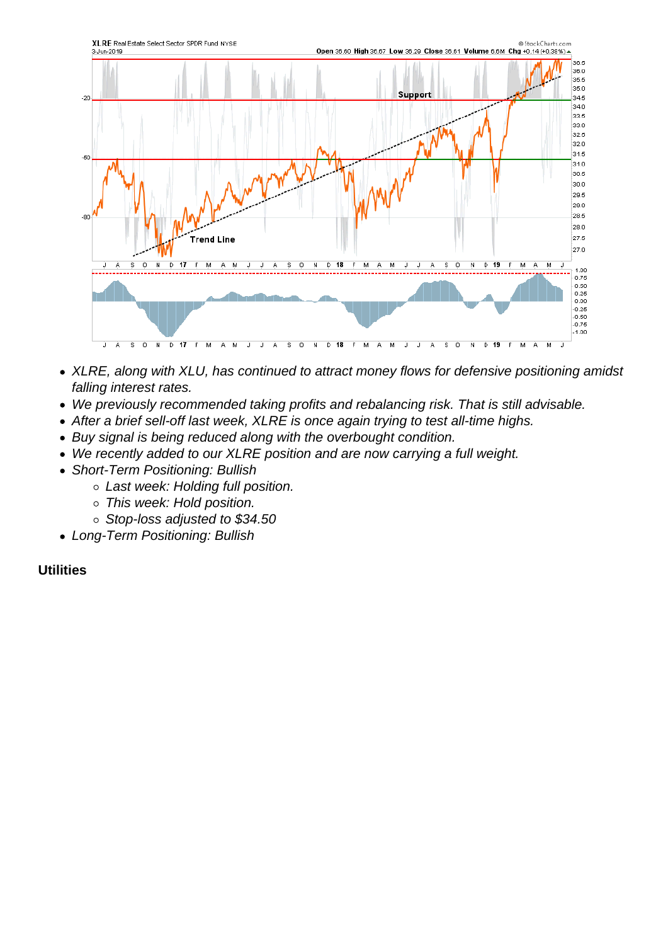- XLRE, along with XLU, has continued to attract money flows for defensive positioning amidst falling interest rates.
- We previously recommended taking profits and rebalancing risk. That is still advisable.
- After a brief sell-off last week, XLRE is once again trying to test all-time highs.
- Buy signal is being reduced along with the overbought condition.
- We recently added to our XLRE position and are now carrying a full weight.
- Short-Term Positioning: Bullish
	- Last week: Holding full position.
	- o This week: Hold position.
	- o Stop-loss adjusted to \$34.50
- Long-Term Positioning: Bullish

**Utilities**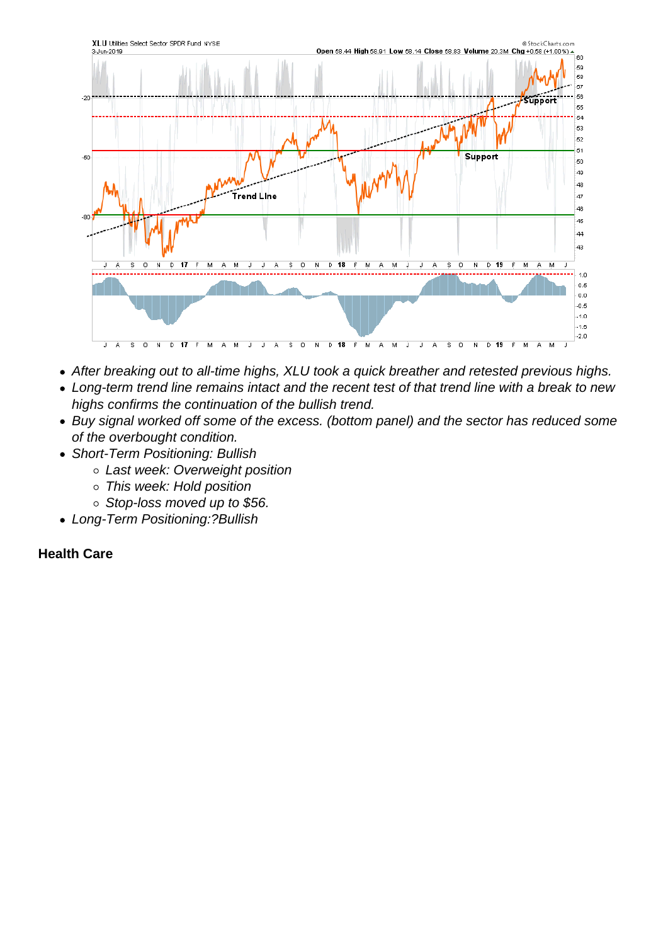- After breaking out to all-time highs, XLU took a quick breather and retested previous highs.
- Long-term trend line remains intact and the recent test of that trend line with a break to new highs confirms the continuation of the bullish trend.
- Buy signal worked off some of the excess. (bottom panel) and the sector has reduced some of the overbought condition.
- Short-Term Positioning: Bullish
	- o Last week: Overweight position
	- This week: Hold position
	- o Stop-loss moved up to \$56.
- Long-Term Positioning:?Bullish

Health Care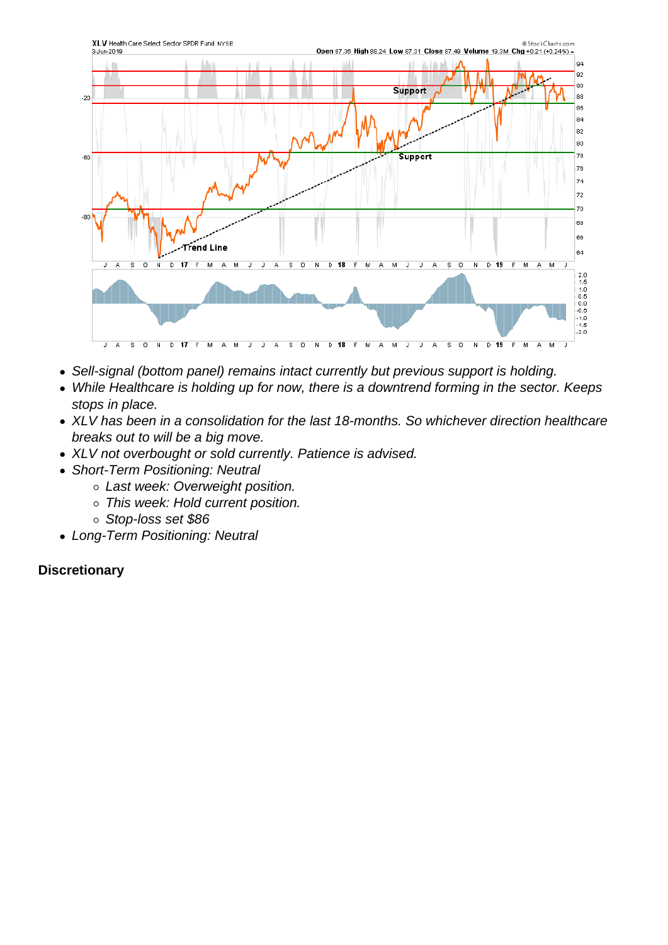- Sell-signal (bottom panel) remains intact currently but previous support is holding.
- While Healthcare is holding up for now, there is a downtrend forming in the sector. Keeps stops in place.
- XLV has been in a consolidation for the last 18-months. So whichever direction healthcare breaks out to will be a big move.
- XLV not overbought or sold currently. Patience is advised.
- Short-Term Positioning: Neutral
	- o Last week: Overweight position.
	- This week: Hold current position.
	- Stop-loss set \$86
- Long-Term Positioning: Neutral

**Discretionary**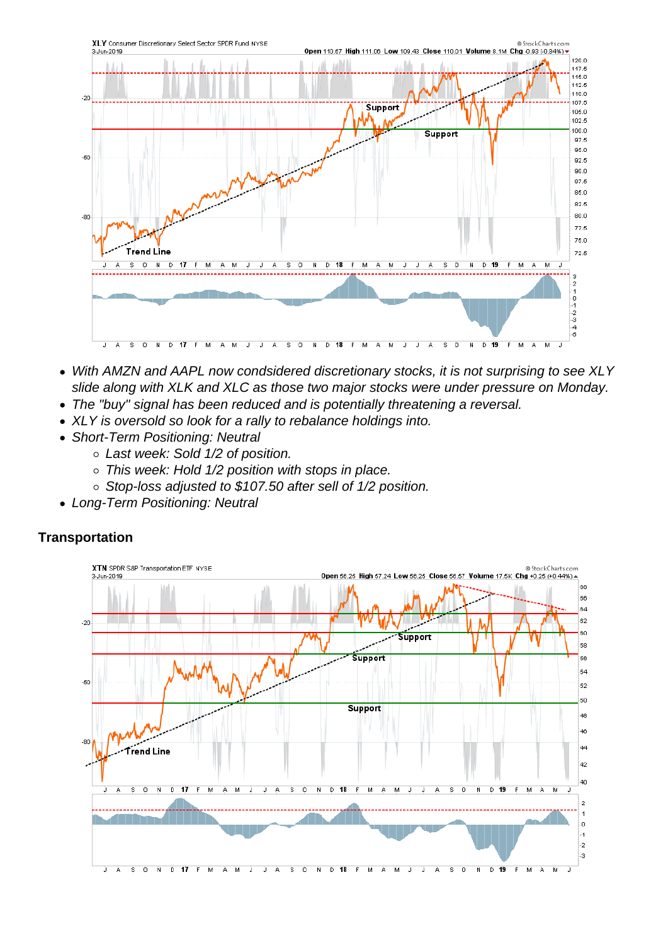- With AMZN and AAPL now condsidered discretionary stocks, it is not surprising to see XLY slide along with XLK and XLC as those two major stocks were under pressure on Monday.
- The "buy" signal has been reduced and is potentially threatening a reversal.
- XLY is oversold so look for a rally to rebalance holdings into.
- Short-Term Positioning: Neutral
	- Last week: Sold 1/2 of position.
	- o This week: Hold 1/2 position with stops in place.
	- Stop-loss adjusted to \$107.50 after sell of 1/2 position.
- Long-Term Positioning: Neutral

**Transportation**